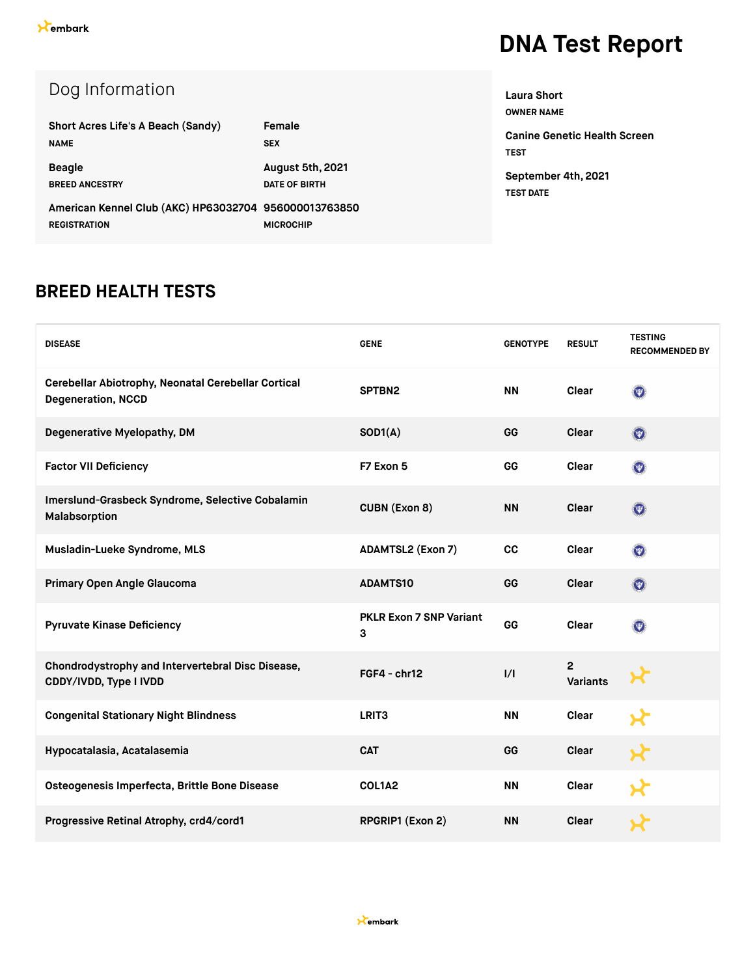| Dog Information                                       |                      |
|-------------------------------------------------------|----------------------|
| Short Acres Life's A Beach (Sandy)                    | Female               |
| <b>NAME</b>                                           | <b>SEX</b>           |
| <b>Beagle</b>                                         | August 5th, 2021     |
| <b>BREED ANCESTRY</b>                                 | <b>DATE OF BIRTH</b> |
| American Kennel Club (AKC) HP63032704 956000013763850 |                      |
| <b>REGISTRATION</b>                                   | <b>MICROCHIP</b>     |

**OWNER NAME Canine Genetic Health Screen TEST September 4th, 2021 TEST DATE**

**Laura Short**

#### **BREED HEALTH TESTS**

| <b>DISEASE</b>                                                                   | <b>GENE</b>                  | <b>GENOTYPE</b> | <b>RESULT</b>                     | <b>TESTING</b><br><b>RECOMMENDED BY</b> |
|----------------------------------------------------------------------------------|------------------------------|-----------------|-----------------------------------|-----------------------------------------|
| Cerebellar Abiotrophy, Neonatal Cerebellar Cortical<br><b>Degeneration, NCCD</b> | SPTBN2                       | <b>NN</b>       | Clear                             | $\odot$                                 |
| Degenerative Myelopathy, DM                                                      | SOD1(A)                      | GG              | Clear                             | $\odot$                                 |
| <b>Factor VII Deficiency</b>                                                     | F7 Exon 5                    | GG              | Clear                             | $\odot$                                 |
| Imerslund-Grasbeck Syndrome, Selective Cobalamin<br>Malabsorption                | <b>CUBN (Exon 8)</b>         | <b>NN</b>       | Clear                             | $\odot$                                 |
| Musladin-Lueke Syndrome, MLS                                                     | <b>ADAMTSL2 (Exon 7)</b>     | cc              | Clear                             | $\odot$                                 |
| Primary Open Angle Glaucoma                                                      | <b>ADAMTS10</b>              | GG              | Clear                             | $\odot$                                 |
| <b>Pyruvate Kinase Deficiency</b>                                                | PKLR Exon 7 SNP Variant<br>3 | GG              | Clear                             | $\odot$                                 |
| Chondrodystrophy and Intervertebral Disc Disease,<br>CDDY/IVDD, Type I IVDD      | $FGF4 - chr12$               | 1/1             | $\overline{2}$<br><b>Variants</b> |                                         |
| <b>Congenital Stationary Night Blindness</b>                                     | LRIT <sub>3</sub>            | <b>NN</b>       | <b>Clear</b>                      |                                         |
| Hypocatalasia, Acatalasemia                                                      | <b>CAT</b>                   | GG              | <b>Clear</b>                      |                                         |
| Osteogenesis Imperfecta, Brittle Bone Disease                                    | COL1A2                       | <b>NN</b>       | <b>Clear</b>                      |                                         |
| Progressive Retinal Atrophy, crd4/cord1                                          | RPGRIP1 (Exon 2)             | <b>NN</b>       | <b>Clear</b>                      |                                         |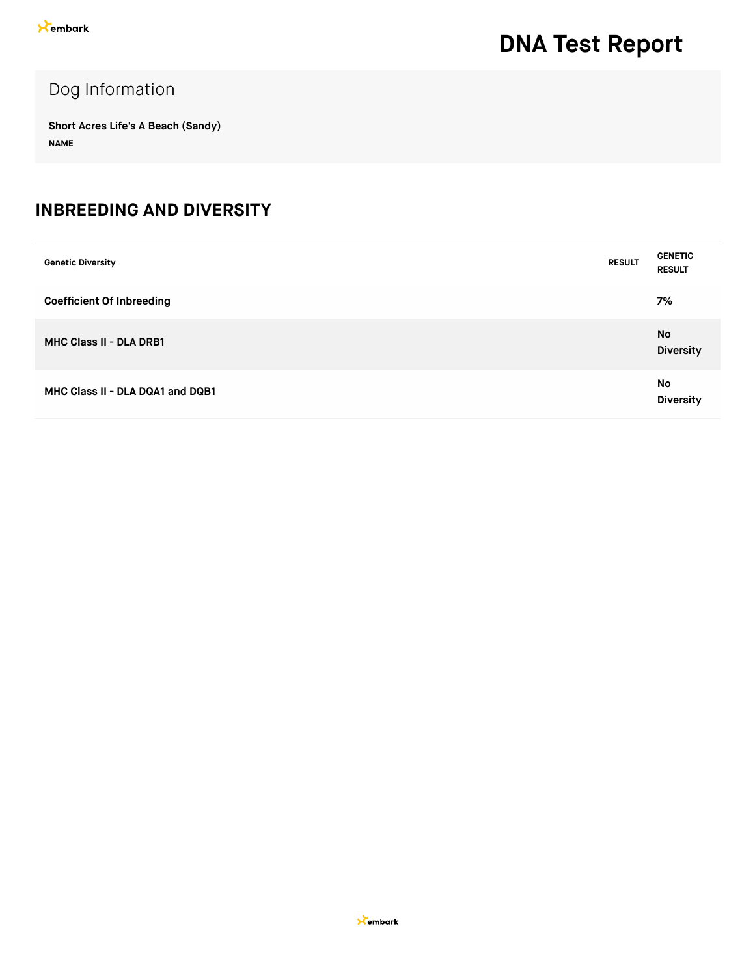#### Dog Information

**Short Acres Life's A Beach (Sandy) NAME**

#### **INBREEDING AND DIVERSITY**

| <b>Genetic Diversity</b>         | <b>RESULT</b> | <b>GENETIC</b><br><b>RESULT</b> |
|----------------------------------|---------------|---------------------------------|
| <b>Coefficient Of Inbreeding</b> |               | 7%                              |
| <b>MHC Class II - DLA DRB1</b>   |               | No<br><b>Diversity</b>          |
| MHC Class II - DLA DQA1 and DQB1 |               | No<br><b>Diversity</b>          |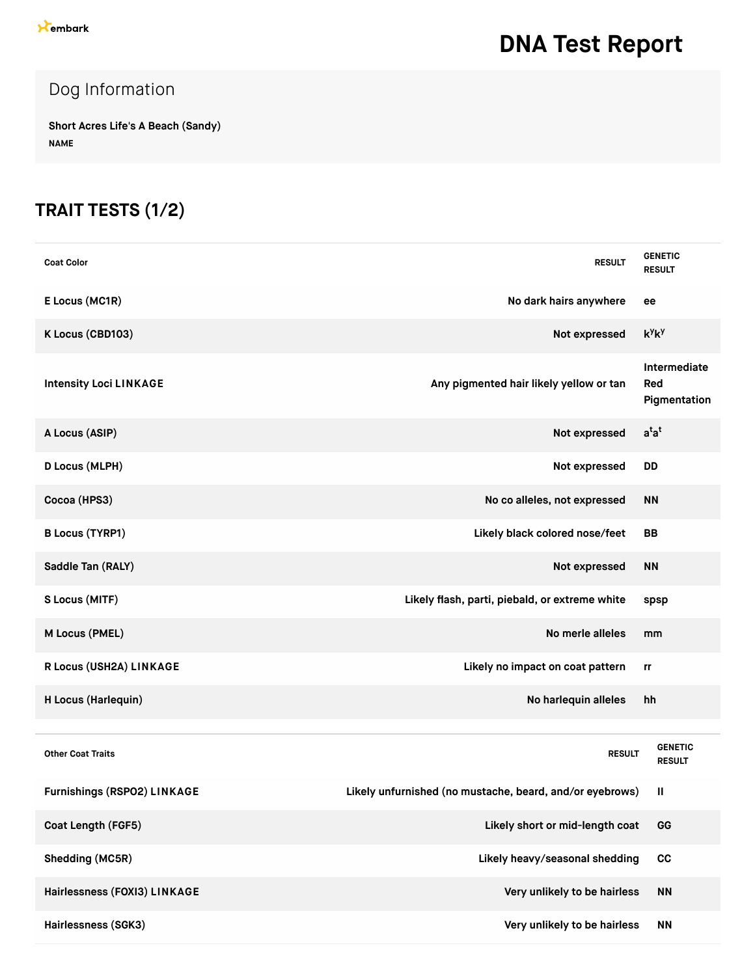### Dog Information

**Short Acres Life's A Beach (Sandy) NAME**

### **TRAIT TESTS (1/2)**

| <b>Coat Color</b>             | <b>RESULT</b>                                            | <b>GENETIC</b><br><b>RESULT</b>     |
|-------------------------------|----------------------------------------------------------|-------------------------------------|
| E Locus (MC1R)                | No dark hairs anywhere                                   | ee                                  |
| K Locus (CBD103)              | Not expressed                                            | $k^y k^y$                           |
| <b>Intensity Loci LINKAGE</b> | Any pigmented hair likely yellow or tan                  | Intermediate<br>Red<br>Pigmentation |
| A Locus (ASIP)                | Not expressed                                            | $a^{t}a^{t}$                        |
| D Locus (MLPH)                | Not expressed                                            | <b>DD</b>                           |
| Cocoa (HPS3)                  | No co alleles, not expressed                             | <b>NN</b>                           |
| <b>B Locus (TYRP1)</b>        | Likely black colored nose/feet                           | <b>BB</b>                           |
| Saddle Tan (RALY)             | Not expressed                                            | <b>NN</b>                           |
| S Locus (MITF)                | Likely flash, parti, piebald, or extreme white           | spsp                                |
| M Locus (PMEL)                | No merle alleles                                         | mm                                  |
| R Locus (USH2A) LINKAGE       | Likely no impact on coat pattern                         | rr                                  |
| H Locus (Harlequin)           | No harlequin alleles                                     | hh                                  |
|                               |                                                          |                                     |
| <b>Other Coat Traits</b>      | <b>RESULT</b>                                            | <b>GENETIC</b><br><b>RESULT</b>     |
| Furnishings (RSPO2) LINKAGE   | Likely unfurnished (no mustache, beard, and/or eyebrows) | Ш                                   |
| Coat Length (FGF5)            | Likely short or mid-length coat                          | GG                                  |
| Shedding (MC5R)               | Likely heavy/seasonal shedding                           | cc                                  |
| Hairlessness (FOXI3) LINKAGE  | Very unlikely to be hairless                             | <b>NN</b>                           |
| Hairlessness (SGK3)           | Very unlikely to be hairless                             | <b>NN</b>                           |